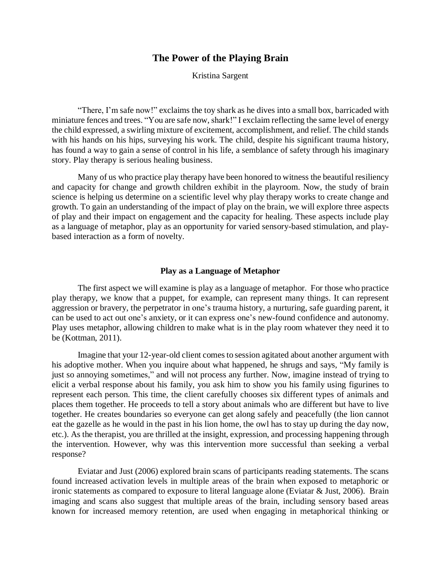# **The Power of the Playing Brain**

Kristina Sargent

"There, I'm safe now!" exclaims the toy shark as he dives into a small box, barricaded with miniature fences and trees. "You are safe now, shark!" I exclaim reflecting the same level of energy the child expressed, a swirling mixture of excitement, accomplishment, and relief. The child stands with his hands on his hips, surveying his work. The child, despite his significant trauma history, has found a way to gain a sense of control in his life, a semblance of safety through his imaginary story. Play therapy is serious healing business.

Many of us who practice play therapy have been honored to witness the beautiful resiliency and capacity for change and growth children exhibit in the playroom. Now, the study of brain science is helping us determine on a scientific level why play therapy works to create change and growth. To gain an understanding of the impact of play on the brain, we will explore three aspects of play and their impact on engagement and the capacity for healing. These aspects include play as a language of metaphor, play as an opportunity for varied sensory-based stimulation, and playbased interaction as a form of novelty.

### **Play as a Language of Metaphor**

The first aspect we will examine is play as a language of metaphor. For those who practice play therapy, we know that a puppet, for example, can represent many things. It can represent aggression or bravery, the perpetrator in one's trauma history, a nurturing, safe guarding parent, it can be used to act out one's anxiety, or it can express one's new-found confidence and autonomy. Play uses metaphor, allowing children to make what is in the play room whatever they need it to be (Kottman, 2011).

Imagine that your 12-year-old client comes to session agitated about another argument with his adoptive mother. When you inquire about what happened, he shrugs and says, "My family is just so annoying sometimes," and will not process any further. Now, imagine instead of trying to elicit a verbal response about his family, you ask him to show you his family using figurines to represent each person. This time, the client carefully chooses six different types of animals and places them together. He proceeds to tell a story about animals who are different but have to live together. He creates boundaries so everyone can get along safely and peacefully (the lion cannot eat the gazelle as he would in the past in his lion home, the owl has to stay up during the day now, etc.). As the therapist, you are thrilled at the insight, expression, and processing happening through the intervention. However, why was this intervention more successful than seeking a verbal response?

Eviatar and Just (2006) explored brain scans of participants reading statements. The scans found increased activation levels in multiple areas of the brain when exposed to metaphoric or ironic statements as compared to exposure to literal language alone (Eviatar & Just, 2006). Brain imaging and scans also suggest that multiple areas of the brain, including sensory based areas known for increased memory retention, are used when engaging in metaphorical thinking or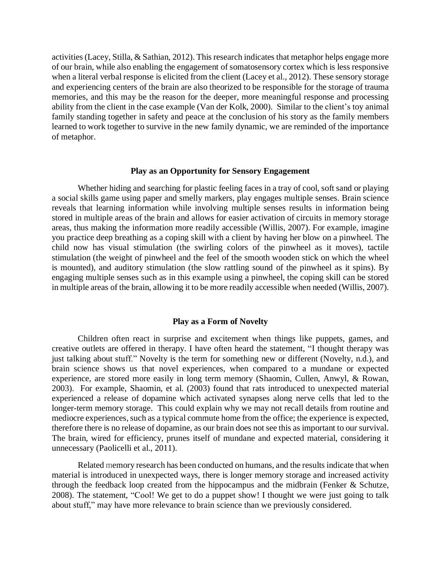activities (Lacey, Stilla, & Sathian, 2012). This research indicates that metaphor helps engage more of our brain, while also enabling the engagement of somatosensory cortex which is less responsive when a literal verbal response is elicited from the client (Lacey et al., 2012). These sensory storage and experiencing centers of the brain are also theorized to be responsible for the storage of trauma memories, and this may be the reason for the deeper, more meaningful response and processing ability from the client in the case example (Van der Kolk, 2000). Similar to the client's toy animal family standing together in safety and peace at the conclusion of his story as the family members learned to work together to survive in the new family dynamic, we are reminded of the importance of metaphor.

#### **Play as an Opportunity for Sensory Engagement**

Whether hiding and searching for plastic feeling faces in a tray of cool, soft sand or playing a social skills game using paper and smelly markers, play engages multiple senses. Brain science reveals that learning information while involving multiple senses results in information being stored in multiple areas of the brain and allows for easier activation of circuits in memory storage areas, thus making the information more readily accessible (Willis, 2007). For example, imagine you practice deep breathing as a coping skill with a client by having her blow on a pinwheel. The child now has visual stimulation (the swirling colors of the pinwheel as it moves), tactile stimulation (the weight of pinwheel and the feel of the smooth wooden stick on which the wheel is mounted), and auditory stimulation (the slow rattling sound of the pinwheel as it spins). By engaging multiple senses such as in this example using a pinwheel, the coping skill can be stored in multiple areas of the brain, allowing it to be more readily accessible when needed (Willis, 2007).

#### **Play as a Form of Novelty**

Children often react in surprise and excitement when things like puppets, games, and creative outlets are offered in therapy. I have often heard the statement, "I thought therapy was just talking about stuff." Novelty is the term for something new or different (Novelty, n.d.), and brain science shows us that novel experiences, when compared to a mundane or expected experience, are stored more easily in long term memory (Shaomin, Cullen, Anwyl, & Rowan, 2003). For example, Shaomin, et al. (2003) found that rats introduced to unexpected material experienced a release of dopamine which activated synapses along nerve cells that led to the longer-term memory storage. This could explain why we may not recall details from routine and mediocre experiences, such as a typical commute home from the office; the experience is expected, therefore there is no release of dopamine, as our brain does not see this as important to our survival. The brain, wired for efficiency, prunes itself of mundane and expected material, considering it unnecessary (Paolicelli et al., 2011).

Related memory research has been conducted on humans, and the results indicate that when material is introduced in unexpected ways, there is longer memory storage and increased activity through the feedback loop created from the hippocampus and the midbrain (Fenker & Schutze, 2008). The statement, "Cool! We get to do a puppet show! I thought we were just going to talk about stuff," may have more relevance to brain science than we previously considered.